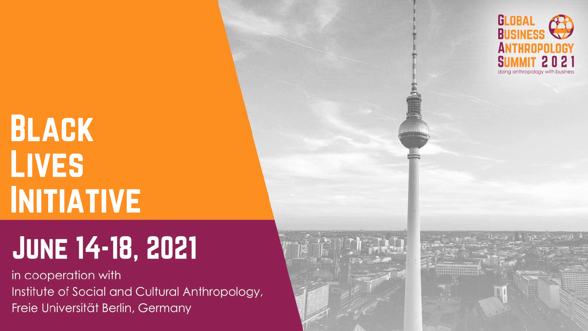# **BLACK LIVES INITIATIVE**

# **JUNE 14-18, 2021**

in cooperation with Institute of Social and Cultural Anthropology, Freie Universität Berlin, Germany



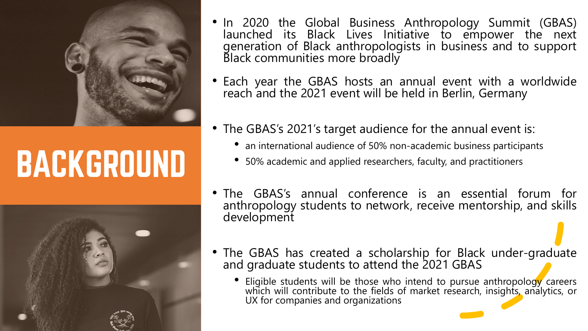

# **BACKGROUND**



- In 2020 the Global Business Anthropology Summit (GBAS) launched its Black Lives Initiative to empower the next generation of Black anthropologists in business and to support Black communities more broadly
- Each year the GBAS hosts an annual event with a worldwide reach and the 2021 event will be held in Berlin, Germany
- The GBAS's 2021's target audience for the annual event is:
	- an international audience of 50% non-academic business participants
	- 50% academic and applied researchers, faculty, and practitioners
- The GBAS's annual conference is an essential forum for anthropology students to network, receive mentorship, and skills development
- The GBAS has created a scholarship for Black under-graduate and graduate students to attend the 2021 GBAS
	- Eligible students will be those who intend to pursue anthropology careers which will contribute to the fields of market research, insights, analytics, or UX for companies and organizations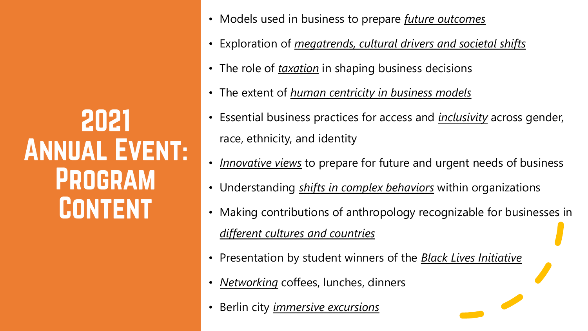2021 **ANNUAL EVENT: PROGRAM CONTENT** 

- Models used in business to prepare *future outcomes*
- Exploration of *megatrends, cultural drivers and societal shifts*
- The role of *taxation* in shaping business decisions
- The extent of *human centricity in business models*
- Essential business practices for access and *inclusivity* across gender, race, ethnicity, and identity
- *Innovative views* to prepare for future and urgent needs of business
- Understanding *shifts in complex behaviors* within organizations
- Making contributions of anthropology recognizable for businesses in *different cultures and countries*
- Presentation by student winners of the *Black Lives Initiative*
- *Networking* coffees, lunches, dinners
- Berlin city *immersive excursions*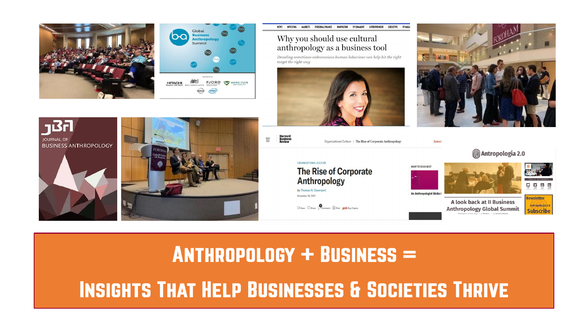



Why you should use cultural anthropology as a business tool

NEWS - INVESTING - MARKETS - PERSONAL FINANCE - INNOVATION

Decoding sometimes-subconscious human behaviour can help hit the right target the right way





п

**Newsletter** 

Antropología 2.0

**Subscribe** 







**ANTHROPOLOGY + BUSINESS = INSIGHTS THAT HELP BUSINESSES & SOCIETIES THRIVE**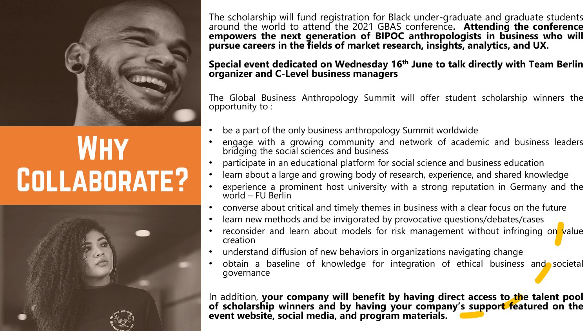

## **WHY** COLLABORATE?



The scholarship will fund registration for Black under-graduate and graduate students around the world to attend the 2021 GBAS conference**. Attending the conference empowers the next generation of BIPOC anthropologists in business who will pursue careers in the fields of market research, insights, analytics, and UX.**

#### **Special event dedicated on Wednesday 16th June to talk directly with Team Berlin organizer and C-Level business managers**

The Global Business Anthropology Summit will offer student scholarship winners the opportunity to :

- be a part of the only business anthropology Summit worldwide
- engage with a growing community and network of academic and business leaders bridging the social sciences and business
- participate in an educational platform for social science and business education
- learn about a large and growing body of research, experience, and shared knowledge
- experience a prominent host university with a strong reputation in Germany and the world – FU Berlin
- converse about critical and timely themes in business with a clear focus on the future
- learn new methods and be invigorated by provocative questions/debates/cases
- reconsider and learn about models for risk management without infringing on value creation
- understand diffusion of new behaviors in organizations navigating change
- obtain a baseline of knowledge for integration of ethical business and societal governance

In addition, **your company will benefit by having direct access to the talent pool of scholarship winners and by having your company's support featured on the event website, social media, and program materials.**